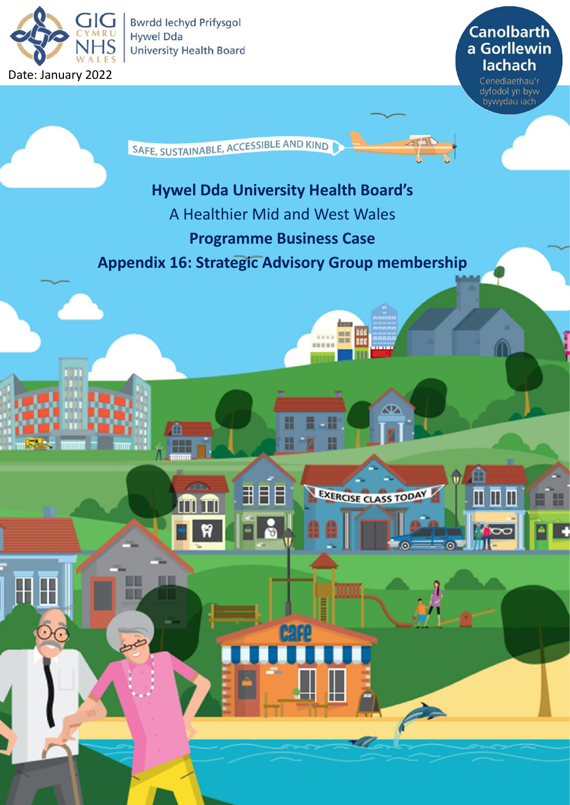

**Bwrdd lechyd Prifysgol Hywel Dda University Health Board** 

**Canolbarth** a Gorllewin **lachach** 

Cenedlaethau'r<br>dyfodol yn byw<br>bywydau iach

SAFE, SUSTAINABLE, ACCESSIBLE AND KIND

## **Hywel Dda University Health Board's**

- A Healthier Mid and West Wales
	- **Programme Business Case**

## **Appendix 16: Strategic Advisory Group membership**

H

**AB** 

丮

Ħ

Œ

 $= 1000$ **BR** 

≃

Ш

G

 $\blacksquare$ 

H

EXERCISE CLASS TODAY

----

E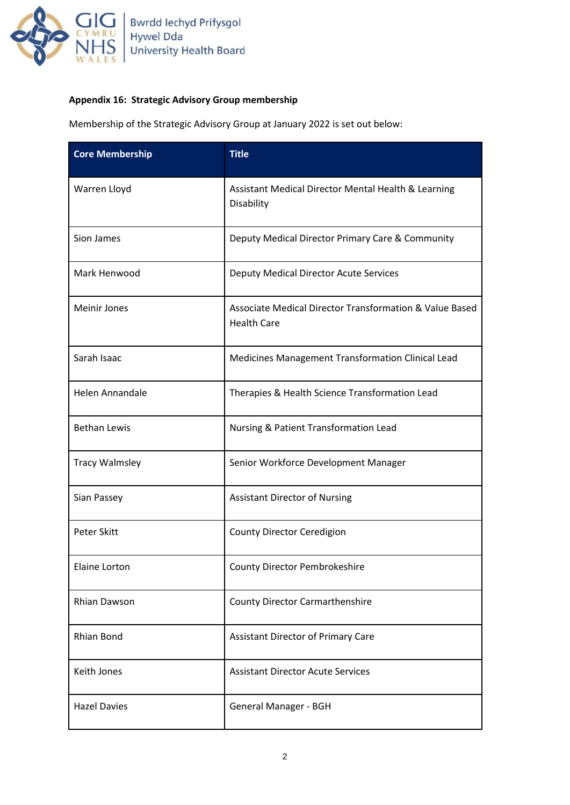

## **Appendix 16: Strategic Advisory Group membership**

Membership of the Strategic Advisory Group at January 2022 is set out below:

| <b>Core Membership</b> | <b>Title</b>                                                                  |
|------------------------|-------------------------------------------------------------------------------|
| Warren Lloyd           | Assistant Medical Director Mental Health & Learning<br>Disability             |
| Sion James             | Deputy Medical Director Primary Care & Community                              |
| Mark Henwood           | Deputy Medical Director Acute Services                                        |
| <b>Meinir Jones</b>    | Associate Medical Director Transformation & Value Based<br><b>Health Care</b> |
| Sarah Isaac            | Medicines Management Transformation Clinical Lead                             |
| <b>Helen Annandale</b> | Therapies & Health Science Transformation Lead                                |
| <b>Bethan Lewis</b>    | Nursing & Patient Transformation Lead                                         |
| <b>Tracy Walmsley</b>  | Senior Workforce Development Manager                                          |
| Sian Passey            | <b>Assistant Director of Nursing</b>                                          |
| <b>Peter Skitt</b>     | County Director Ceredigion                                                    |
| <b>Elaine Lorton</b>   | <b>County Director Pembrokeshire</b>                                          |
| Rhian Dawson           | <b>County Director Carmarthenshire</b>                                        |
| <b>Rhian Bond</b>      | <b>Assistant Director of Primary Care</b>                                     |
| Keith Jones            | <b>Assistant Director Acute Services</b>                                      |
| <b>Hazel Davies</b>    | General Manager - BGH                                                         |